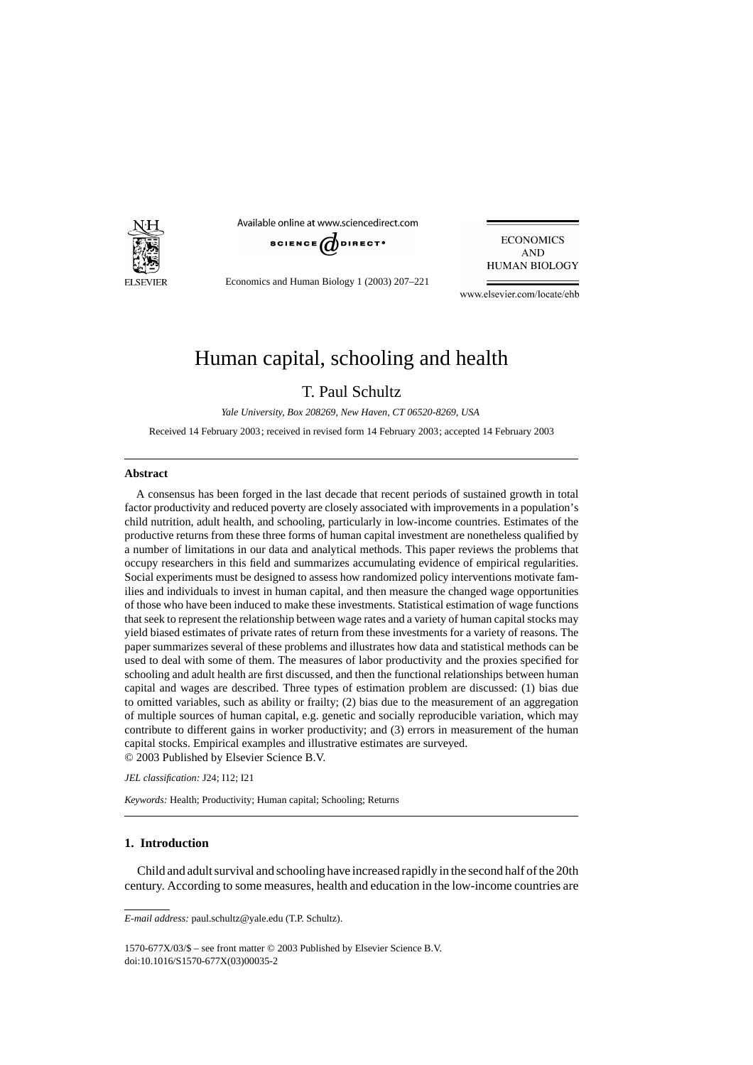

Available online at www.sciencedirect.com



Economics and Human Biology 1 (2003) 207–221

**ECONOMICS AND HUMAN BIOLOGY** 

www.elsevier.com/locate/ehb

## Human capital, schooling and health

### T. Paul Schultz

*Yale University, Box 208269, New Haven, CT 06520-8269, USA*

Received 14 February 2003; received in revised form 14 February 2003; accepted 14 February 2003

#### **Abstract**

A consensus has been forged in the last decade that recent periods of sustained growth in total factor productivity and reduced poverty are closely associated with improvements in a population's child nutrition, adult health, and schooling, particularly in low-income countries. Estimates of the productive returns from these three forms of human capital investment are nonetheless qualified by a number of limitations in our data and analytical methods. This paper reviews the problems that occupy researchers in this field and summarizes accumulating evidence of empirical regularities. Social experiments must be designed to assess how randomized policy interventions motivate families and individuals to invest in human capital, and then measure the changed wage opportunities of those who have been induced to make these investments. Statistical estimation of wage functions that seek to represent the relationship between wage rates and a variety of human capital stocks may yield biased estimates of private rates of return from these investments for a variety of reasons. The paper summarizes several of these problems and illustrates how data and statistical methods can be used to deal with some of them. The measures of labor productivity and the proxies specified for schooling and adult health are first discussed, and then the functional relationships between human capital and wages are described. Three types of estimation problem are discussed: (1) bias due to omitted variables, such as ability or frailty; (2) bias due to the measurement of an aggregation of multiple sources of human capital, e.g. genetic and socially reproducible variation, which may contribute to different gains in worker productivity; and (3) errors in measurement of the human capital stocks. Empirical examples and illustrative estimates are surveyed. © 2003 Published by Elsevier Science B.V.

*JEL classification:* J24; I12; I21

*Keywords:* Health; Productivity; Human capital; Schooling; Returns

#### **1. Introduction**

Child and adult survival and schooling have increased rapidly in the second half of the 20th century. According to some measures, health and education in the low-income countries are

*E-mail address:* paul.schultz@yale.edu (T.P. Schultz).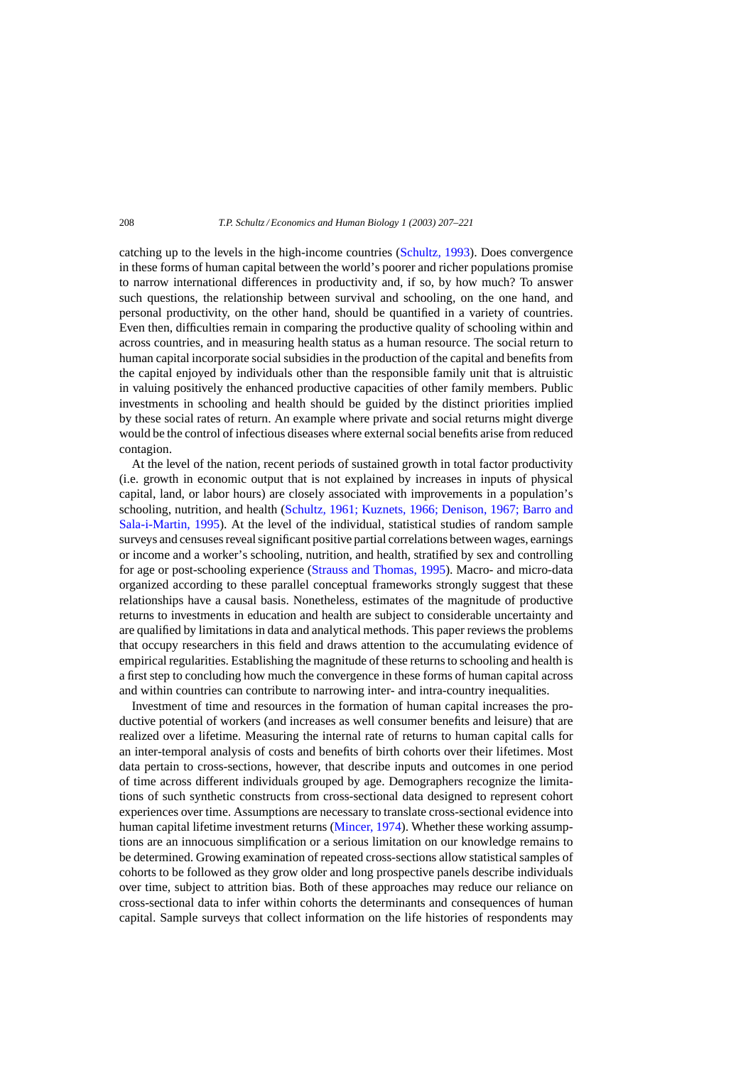catching up to the levels in the high-income countries [\(Schultz, 1993\).](#page--1-0) Does convergence in these forms of human capital between the world's poorer and richer populations promise to narrow international differences in productivity and, if so, by how much? To answer such questions, the relationship between survival and schooling, on the one hand, and personal productivity, on the other hand, should be quantified in a variety of countries. Even then, difficulties remain in comparing the productive quality of schooling within and across countries, and in measuring health status as a human resource. The social return to human capital incorporate social subsidies in the production of the capital and benefits from the capital enjoyed by individuals other than the responsible family unit that is altruistic in valuing positively the enhanced productive capacities of other family members. Public investments in schooling and health should be guided by the distinct priorities implied by these social rates of return. An example where private and social returns might diverge would be the control of infectious diseases where external social benefits arise from reduced contagion.

At the level of the nation, recent periods of sustained growth in total factor productivity (i.e. growth in economic output that is not explained by increases in inputs of physical capital, land, or labor hours) are closely associated with improvements in a population's schooling, nutrition, and health [\(Schultz, 1961; Kuznets, 1966; Denison, 1967; Barro and](#page--1-0) [Sala-i-Martin, 1995\).](#page--1-0) At the level of the individual, statistical studies of random sample surveys and censuses reveal significant positive partial correlations between wages, earnings or income and a worker's schooling, nutrition, and health, stratified by sex and controlling for age or post-schooling experience [\(Strauss and Thomas, 1995\).](#page--1-0) Macro- and micro-data organized according to these parallel conceptual frameworks strongly suggest that these relationships have a causal basis. Nonetheless, estimates of the magnitude of productive returns to investments in education and health are subject to considerable uncertainty and are qualified by limitations in data and analytical methods. This paper reviews the problems that occupy researchers in this field and draws attention to the accumulating evidence of empirical regularities. Establishing the magnitude of these returns to schooling and health is a first step to concluding how much the convergence in these forms of human capital across and within countries can contribute to narrowing inter- and intra-country inequalities.

Investment of time and resources in the formation of human capital increases the productive potential of workers (and increases as well consumer benefits and leisure) that are realized over a lifetime. Measuring the internal rate of returns to human capital calls for an inter-temporal analysis of costs and benefits of birth cohorts over their lifetimes. Most data pertain to cross-sections, however, that describe inputs and outcomes in one period of time across different individuals grouped by age. Demographers recognize the limitations of such synthetic constructs from cross-sectional data designed to represent cohort experiences over time. Assumptions are necessary to translate cross-sectional evidence into human capital lifetime investment returns [\(Mincer, 1974\).](#page--1-0) Whether these working assumptions are an innocuous simplification or a serious limitation on our knowledge remains to be determined. Growing examination of repeated cross-sections allow statistical samples of cohorts to be followed as they grow older and long prospective panels describe individuals over time, subject to attrition bias. Both of these approaches may reduce our reliance on cross-sectional data to infer within cohorts the determinants and consequences of human capital. Sample surveys that collect information on the life histories of respondents may